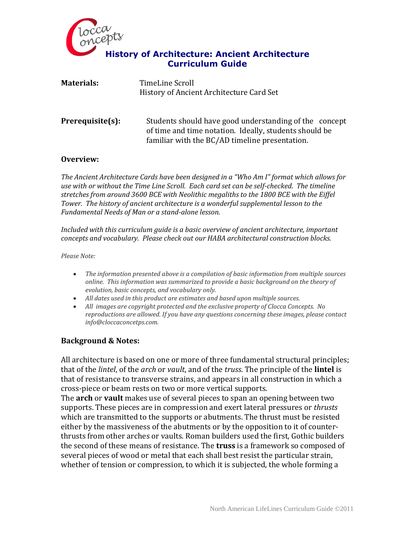

| <b>Materials:</b>   | TimeLine Scroll<br>History of Ancient Architecture Card Set                                                                                                        |
|---------------------|--------------------------------------------------------------------------------------------------------------------------------------------------------------------|
| $Prerequisite(s)$ : | Students should have good understanding of the concept<br>of time and time notation. Ideally, students should be<br>familiar with the BC/AD timeline presentation. |

### **Overview:**

*The Ancient Architecture Cards have been designed in a "Who Am I" format which allows for use with or without the Time Line Scroll. Each card set can be self-checked. The timeline stretches from around 3600 BCE with Neolithic megaliths to the 1800 BCE with the Eiffel Tower. The history of ancient architecture is a wonderful supplemental lesson to the Fundamental Needs of Man or a stand-alone lesson.* 

*Included with this curriculum guide is a basic overview of ancient architecture, important concepts and vocabulary. Please check out our HABA architectural construction blocks.*

*Please Note:*

- *The information presented above is a compilation of basic information from multiple sources online. This information was summarized to provide a basic background on the theory of evolution, basic concepts, and vocabulary only.*
- *All dates used in this product are estimates and based upon multiple sources.*
- *All images are copyright protected and the exclusive property of Clocca Concepts. No reproductions are allowed. If you have any questions concerning these images, please contact info@cloccaconcetps.com.*

### **Background & Notes:**

All architecture is based on one or more of three fundamental structural principles; that of the *lintel*, of the *arch* or *vault*, and of the *truss*. The principle of the **lintel** is that of resistance to transverse strains, and appears in all construction in which a cross-piece or beam rests on two or more vertical supports.

The **arch** or **vault** makes use of several pieces to span an opening between two supports. These pieces are in compression and exert lateral pressures or *thrusts*  which are transmitted to the supports or abutments. The thrust must be resisted either by the massiveness of the abutments or by the opposition to it of counterthrusts from other arches or vaults. Roman builders used the first, Gothic builders the second of these means of resistance. The **truss** is a framework so composed of several pieces of wood or metal that each shall best resist the particular strain, whether of tension or compression, to which it is subjected, the whole forming a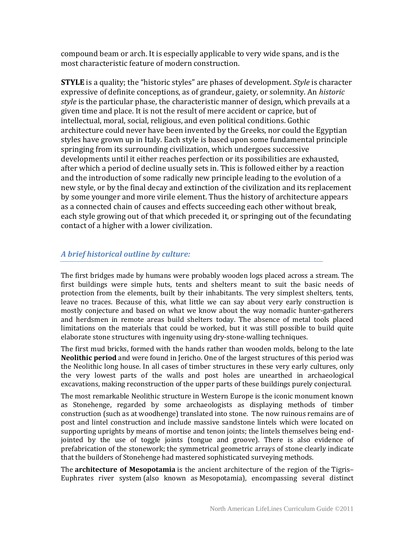compound beam or arch. It is especially applicable to very wide spans, and is the most characteristic feature of modern construction.

**STYLE** is a quality; the "historic styles" are phases of development. *Style* is character expressive of definite conceptions, as of grandeur, gaiety, or solemnity. An *historic style* is the particular phase, the characteristic manner of design, which prevails at a given time and place. It is not the result of mere accident or caprice, but of intellectual, moral, social, religious, and even political conditions. Gothic architecture could never have been invented by the Greeks, nor could the Egyptian styles have grown up in Italy. Each style is based upon some fundamental principle springing from its surrounding civilization, which undergoes successive developments until it either reaches perfection or its possibilities are exhausted, after which a period of decline usually sets in. This is followed either by a reaction and the introduction of some radically new principle leading to the evolution of a new style, or by the final decay and extinction of the civilization and its replacement by some younger and more virile element. Thus the history of architecture appears as a connected chain of causes and effects succeeding each other without break, each style growing out of that which preceded it, or springing out of the fecundating contact of a higher with a lower civilization.

## *A brief historical outline by culture:*

The first [bridges](/wiki/Bridge) made by humans were probably wooden logs placed across a stream. The first buildings were simple [huts,](/wiki/Hut_(dwelling)) [tents](/wiki/Tent) and shelters meant to suit the basic needs of protection from the elements, built by their inhabitants. The very simplest shelters, tents, leave no traces. Because of this, what little we can say about very early construction is mostly conjecture and based on what we know about the way nomadic hunter-gatherers and herdsmen in remote areas build shelters today. The absence of metal tools placed limitations on the materials that could be worked, but it was still possible to build quite elaborate stone structures with ingenuity using dry-stone-walling techniques.

The first mud bricks, formed with the hands rather than wooden molds, belong to the late **Neolithic period** and were found in [Jericho.](/wiki/Jericho) One of the largest structures of this period was the [Neolithic long house.](/wiki/Neolithic_long_house) In all cases of [timber structures](/wiki/Timber_framing) in these very early cultures, only the very lowest parts of the walls and [post holes](/wiki/Post_hole) are unearthed in archaeological excavations, making reconstruction of the upper parts of these buildings purely conjectural.

The most remarkable Neolithic structure in Western Europe is the iconic monument known as [Stonehenge,](/wiki/Stonehenge) regarded by some archaeologists as displaying methods of timber construction (such as at [woodhenge\)](/wiki/Woodhenge) translated into stone. The now ruinous remains are of [post and lintel](/wiki/Post_and_lintel) construction and include massive sandstone lintels which were located on supporting uprights by means of mortise and tenon joints; the lintels themselves being endjointed by the use of toggle joints (tongue and groove). There is also evidence of prefabrication of the stonework; the symmetrical geometric arrays of stone clearly indicate that the builders of Stonehenge had mastered sophisticated surveying methods.

The **architecture of Mesopotamia** is the ancient architecture of the region of the [Tigris](http://en.wikipedia.org/wiki/Tigris%E2%80%93Euphrates_river_system)– [Euphrates river system](http://en.wikipedia.org/wiki/Tigris%E2%80%93Euphrates_river_system) (also known as [Mesopotamia\)](http://en.wikipedia.org/wiki/Mesopotamia), encompassing several distinct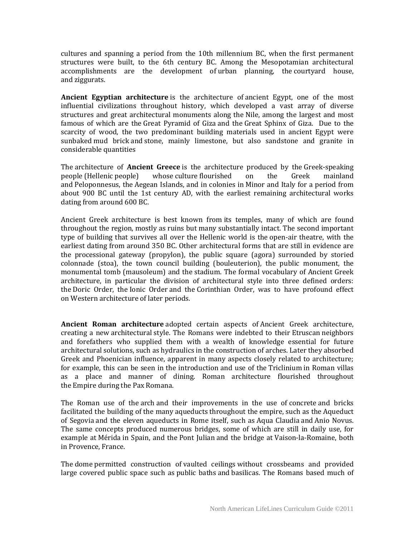cultures and spanning a period from the 10th millennium BC, when the first permanent structures were built, to the 6th century BC. Among the Mesopotamian architectural accomplishments are the development of [urban planning,](http://en.wikipedia.org/wiki/Urban_planning) the [courtyard house,](http://en.wikipedia.org/wiki/Courtyard_house) and [ziggurats.](http://en.wikipedia.org/wiki/Ziggurat)

**Ancient Egyptian architecture** is the architecture of [ancient Egypt,](http://en.wikipedia.org/wiki/Ancient_Egypt) one of the most influential civilizations throughout history, which developed a vast array of diverse structures and great architectural monuments along the [Nile,](http://en.wikipedia.org/wiki/Nile) among the largest and most famous of which are the [Great Pyramid of Giza](http://en.wikipedia.org/wiki/Great_Pyramid_of_Giza) and the [Great Sphinx of Giza.](http://en.wikipedia.org/wiki/Great_Sphinx_of_Giza) Due to the scarcity of wood, the two predominant building materials used in ancient Egypt were sunbaked [mud brick](http://en.wikipedia.org/wiki/Mud_brick) and [stone,](http://en.wikipedia.org/wiki/Rock_(geology)) mainly limestone, but also sandstone and granite in considerable quantities

The architecture of **Ancient Greece** is the architecture produced by the [Greek-speaking](http://en.wikipedia.org/wiki/Greeks)  [people](http://en.wikipedia.org/wiki/Greeks) (Hellenic people) whose [culture](http://en.wikipedia.org/wiki/Ancient_Greece) flourished on the Greek mainland and [Peloponnesus,](http://en.wikipedia.org/wiki/Peloponnesus) the [Aegean Islands,](http://en.wikipedia.org/wiki/Aegean_Islands) and in colonies in Minor and Italy for a period from about 900 BC until the 1st century AD, with the earliest remaining architectural works dating from around 600 BC.

Ancient Greek architecture is best known from [its temples,](http://en.wikipedia.org/wiki/Ancient_Greek_temple) many of which are found throughout the region, mostly as ruins but many substantially intact. The second important type of building that survives all over the Hellenic world is the [open-air theatre,](http://en.wikipedia.org/wiki/Theatre_of_Ancient_Greece#Characteristics_of_the_buildings) with the earliest dating from around 350 BC. Other architectural forms that are still in evidence are the processional gateway [\(propylon\)](http://en.wikipedia.org/wiki/Propylon), the public square [\(agora\)](http://en.wikipedia.org/wiki/Agora) surrounded by storied colonnade [\(stoa\)](http://en.wikipedia.org/wiki/Stoa), the town council building [\(bouleuterion\)](http://en.wikipedia.org/wiki/Bouleuterion), the public monument, the monumental tomb [\(mausoleum\)](http://en.wikipedia.org/wiki/Mausoleum) and the [stadium.](http://en.wikipedia.org/wiki/Stadium) The formal vocabulary of Ancient Greek architecture, in particular the division of architectural style into three defined orders: the [Doric Order,](http://en.wikipedia.org/wiki/Doric_Order) the [Ionic Order](http://en.wikipedia.org/wiki/Ionic_Order) and the [Corinthian Order,](http://en.wikipedia.org/wiki/Corinthian_Order) was to have profound effect on [Western architecture](http://en.wikipedia.org/wiki/History_of_architecture) of later periods.

**Ancient Roman architecture** adopted certain aspects of [Ancient Greek architecture,](http://en.wikipedia.org/wiki/Ancient_Greek_architecture) creating a new [architectural](http://en.wikipedia.org/wiki/Architecture) style. The Romans were indebted to their [Etruscan](http://en.wikipedia.org/wiki/Etruscan_civilization) neighbors and forefathers who supplied them with a wealth of knowledge essential for future architectural solutions, such as [hydraulics](http://en.wikipedia.org/wiki/Hydraulics) in the construction of arches. Later they absorbed Greek and Phoenician influence, apparent in many aspects closely related to architecture; for example, this can be seen in the introduction and use of the [Triclinium](http://en.wikipedia.org/wiki/Triclinium) in Roman villas as a place and manner of dining. Roman architecture flourished throughout the [Empire](http://en.wikipedia.org/wiki/Roman_Empire) during the [Pax Romana.](http://en.wikipedia.org/wiki/Pax_Romana)

The Roman use of the [arch](http://en.wikipedia.org/wiki/Arch) and their improvements in the use of [concrete](http://en.wikipedia.org/wiki/Concrete) and bricks facilitated the building of the many [aqueducts](http://en.wikipedia.org/wiki/Aqueduct_(bridge)) throughout the [empire,](http://en.wikipedia.org/wiki/Roman_Empire) such as the [Aqueduct](http://en.wikipedia.org/wiki/Aqueduct_of_Segovia)  [of Segovia](http://en.wikipedia.org/wiki/Aqueduct_of_Segovia) and the eleven aqueducts in Rome itself, such as [Aqua Claudia](http://en.wikipedia.org/wiki/Aqua_Claudia) and [Anio Novus.](http://en.wikipedia.org/wiki/Anio_Novus) The same concepts produced numerous bridges, some of which are still in daily use, for example at [Mérida](http://en.wikipedia.org/wiki/M%C3%A9rida) in Spain, and the [Pont Julian](http://en.wikipedia.org/w/index.php?title=Pont_Julian&action=edit&redlink=1) and the bridge at [Vaison-la-Romaine,](http://en.wikipedia.org/wiki/Vaison-la-Romaine) both in Provence, France.

The [dome](http://en.wikipedia.org/wiki/Dome) permitted construction of [vaulted ceilings](http://en.wikipedia.org/wiki/Vaulted_ceiling) without crossbeams and provided large covered public space such as [public baths](http://en.wikipedia.org/wiki/Public_baths) and [basilicas.](http://en.wikipedia.org/wiki/Basilicas) The Romans based much of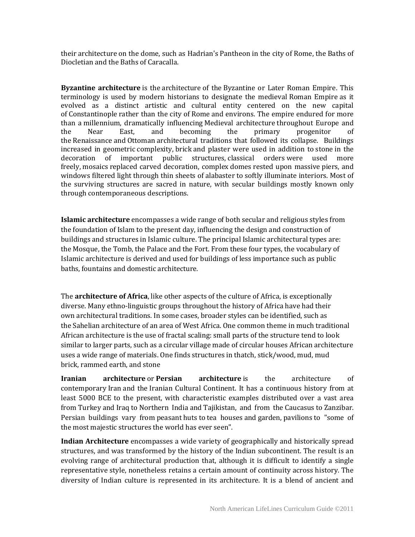their [architecture](http://en.wikipedia.org/wiki/Architecture) on the dome, such as Hadrian's [Pantheon](http://en.wikipedia.org/wiki/Pantheon,_Rome) in the city of Rome, the [Baths of](http://en.wikipedia.org/wiki/Baths_of_Diocletian)  [Diocletian](http://en.wikipedia.org/wiki/Baths_of_Diocletian) and the [Baths of Caracalla.](http://en.wikipedia.org/wiki/Baths_of_Caracalla)

**Byzantine architecture** is the [architecture](http://en.wikipedia.org/wiki/Architecture) of the [Byzantine or Later Roman Empire.](http://en.wikipedia.org/wiki/Byzantine_Empire) This terminology is used by modern historians to designate the medieval [Roman Empire](http://en.wikipedia.org/wiki/Roman_Empire) as it evolved as a distinct artistic and cultural entity centered on the new capital of [Constantinople](http://en.wikipedia.org/wiki/Constantinople) rather than the city of [Rome](http://en.wikipedia.org/wiki/Rome) and environs. The empire endured for more than a [millennium,](http://en.wikipedia.org/wiki/Millennium) dramatically influencing [Medieval architecture](http://en.wikipedia.org/wiki/Medieval_architecture) throughout Europe and the Near East, and becoming the primary progenitor of the [Renaissance](http://en.wikipedia.org/wiki/Renaissance_Architecture) and [Ottoman](http://en.wikipedia.org/wiki/Ottoman_Architecture) architectural traditions that followed its collapse. Buildings increased in geometric [complexity,](http://en.wikipedia.org/wiki/Cruciform) [brick](http://en.wikipedia.org/wiki/Brick) and plaster were used in addition to [stone](http://en.wikipedia.org/wiki/Rock_(geology)) in the decoration of important public structures, [classical orders](http://en.wikipedia.org/wiki/Classical_orders) were used more freely, [mosaics](http://en.wikipedia.org/wiki/Mosaic) replaced carved decoration, complex [domes](http://en.wikipedia.org/wiki/Dome) rested upon massive [piers,](http://en.wikipedia.org/wiki/Pier_(architecture)) and windows filtered light through thin sheets of [alabaster](http://en.wikipedia.org/wiki/Alabaster) to softly illuminate interiors. Most of the surviving structures are sacred in nature, with secular buildings mostly known only through contemporaneous descriptions.

**Islamic architecture** encompasses a wide range of both secular and religious styles from the [foundation of Islam](http://en.wikipedia.org/wiki/History_of_Islam) to the present day, influencing the design and construction of buildings and structures in [Islamic culture.](http://en.wikipedia.org/wiki/Islamic_culture) The principal Islamic architectural types are: the [Mosque,](http://en.wikipedia.org/wiki/Mosque) the [Tomb,](http://en.wikipedia.org/wiki/Tomb) the [Palace](http://en.wikipedia.org/wiki/Palace) and the [Fort.](http://en.wikipedia.org/wiki/Fort) From these four types, the vocabulary of Islamic architecture is derived and used for buildings of less importance such as [public](http://en.wikipedia.org/wiki/Public_baths)  [baths,](http://en.wikipedia.org/wiki/Public_baths) [fountains](http://en.wikipedia.org/wiki/Fountains) and domestic architecture.

The **architecture of Africa**, like other aspects of the [culture of Africa,](http://en.wikipedia.org/wiki/Culture_of_Africa) is exceptionally diverse. Many ethno-linguistic groups throughout the [history of Africa](http://en.wikipedia.org/wiki/History_of_Africa) have had their own [architectural](http://en.wikipedia.org/wiki/Architecture) traditions. In some cases, broader styles can be identified, such as the [Sahelian architecture](http://en.wikipedia.org/wiki/Sudano-Sahelian) of an area of [West Africa.](http://en.wikipedia.org/wiki/West_Africa) One common theme in much traditional African architecture is the use of [fractal](http://en.wikipedia.org/wiki/Fractal) scaling: small parts of the structure tend to look similar to larger parts, such as a circular village made of circular houses African architecture uses a wide range of materials. One finds structures in thatch, stick/wood, mud, [mud](http://en.wikipedia.org/wiki/Mudbrick)  [brick,](http://en.wikipedia.org/wiki/Mudbrick) [rammed earth,](http://en.wikipedia.org/wiki/Rammed_earth) and stone

**Iranian architecture** or **Persian architecture** is the architecture of contemporary [Iran](http://en.wikipedia.org/wiki/Iran) and the [Iranian Cultural Continent.](http://en.wikipedia.org/wiki/Greater_Iran) It has a continuous history from at least 5000 BCE to the present, with characteristic examples distributed over a vast area from [Turkey](http://en.wikipedia.org/wiki/Turkey) and [Iraq](http://en.wikipedia.org/wiki/Iraq) to [Northern India](http://en.wikipedia.org/wiki/Northern_India) and [Tajikistan,](http://en.wikipedia.org/wiki/Tajikistan) and from the [Caucasus](http://en.wikipedia.org/wiki/Caucasus) to [Zanzibar.](http://en.wikipedia.org/wiki/Zanzibar) Persian buildings vary from [peasant](http://en.wikipedia.org/wiki/Peasant) [huts](http://en.wikipedia.org/wiki/Hut_(dwelling)) to [tea houses](http://en.wikipedia.org/wiki/Tea_house) and [garden,](http://en.wikipedia.org/wiki/Persian_garden) [pavilions](http://en.wikipedia.org/wiki/Pavilion) to "some of the most majestic structures the world has ever seen".

**Indian Architecture** encompasses a wide variety of geographically and historically spread structures, and was transformed by the history of the [Indian subcontinent.](http://en.wikipedia.org/wiki/Indian_subcontinent) The result is an evolving range of architectural production that, although it is difficult to identify a single representative style, nonetheless retains a certain amount of continuity across history. The diversity of Indian culture is represented in its architecture. It is a blend of ancient and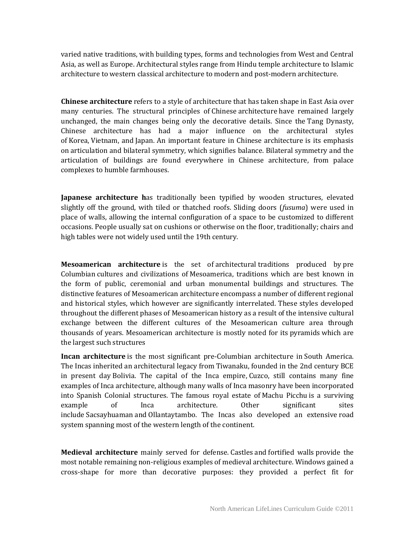varied native traditions, with building types, forms and technologies from West and Central Asia, as well as Europe. Architectural styles range from [Hindu temple architecture](http://en.wikipedia.org/wiki/Hindu_temple_architecture) to [Islamic](http://en.wikipedia.org/wiki/Islamic_architecture)  [architecture](http://en.wikipedia.org/wiki/Islamic_architecture) to western [classical architecture](http://en.wikipedia.org/wiki/Classical_architecture) to [modern](http://en.wikipedia.org/wiki/Modern_architecture) and [post-modern architecture.](http://en.wikipedia.org/wiki/Post-modern_architecture)

**Chinese architecture** refers to a style of [architecture](http://en.wikipedia.org/wiki/Architecture) that has taken shape in [East Asia](http://en.wikipedia.org/wiki/East_Asia) over many centuries. The structural principles of [Chinese](http://en.wikipedia.org/wiki/China) [architecture](http://en.wikipedia.org/wiki/Architecture) have remained largely unchanged, the main changes being only the decorative details. Since the [Tang Dynasty,](http://en.wikipedia.org/wiki/Tang_Dynasty) Chinese architecture has had a major influence on the architectural styles of [Korea,](http://en.wikipedia.org/wiki/Korean_architecture) [Vietnam,](http://en.wikipedia.org/wiki/Vietnamese_architecture) and [Japan.](http://en.wikipedia.org/wiki/Japanese_architecture) An important feature in Chinese architecture is its emphasis on [articulation](http://en.wikipedia.org/wiki/Articulation_(architecture)) and bilateral symmetry, which signifies balance. Bilateral symmetry and the articulation of buildings are found everywhere in Chinese architecture, from palace complexes to humble farmhouses.

**Japanese architecture h**as traditionally been typified by wooden structures, elevated slightly off the ground, with tiled or thatched roofs. Sliding doors (*[fusuma](http://en.wikipedia.org/wiki/Fusuma)*) were used in place of walls, allowing the internal configuration of a space to be customized to different occasions. People usually sat on cushions or otherwise on the floor, traditionally; chairs and high tables were not widely used until the 19th century.

**Mesoamerican architecture** is the set of [architectural](http://en.wikipedia.org/wiki/Architecture) traditions produced by [pre](http://en.wikipedia.org/wiki/Pre-Columbian)  [Columbian](http://en.wikipedia.org/wiki/Pre-Columbian) cultures and civilizations of [Mesoamerica,](http://en.wikipedia.org/wiki/Mesoamerica) traditions which are best known in the form of public, ceremonial and urban monumental buildings and structures. The distinctive features of Mesoamerican architecture encompass a number of different regional and historical styles, which however are significantly interrelated. These styles developed throughout the different phases of [Mesoamerican history](http://en.wikipedia.org/wiki/Mesoamerican_chronology) as a result of the intensive cultural exchange between the different cultures of the Mesoamerican culture area through thousands of years. Mesoamerican architecture is mostly noted for its [pyramids](http://en.wikipedia.org/wiki/Mesoamerican_pyramids) which are the largest such structures

**Incan architecture** is the most significant pre-Columbian architecture in [South America.](http://en.wikipedia.org/wiki/South_America) The [Incas](http://en.wikipedia.org/wiki/Inca) inherited an architectural legacy from [Tiwanaku,](http://en.wikipedia.org/wiki/Tiwanaku) founded in the 2nd century BCE in present day [Bolivia.](http://en.wikipedia.org/wiki/Bolivia) The capital of the Inca empire, [Cuzco,](http://en.wikipedia.org/wiki/Cuzco) still contains many fine examples of Inca architecture, although many walls of Inca masonry have been incorporated into Spanish Colonial structures. The famous royal estate of [Machu Picchu](http://en.wikipedia.org/wiki/Machu_Picchu) is a surviving example of Inca architecture. Other significant sites include [Sacsayhuaman](http://en.wikipedia.org/wiki/Sacsayhuaman) and [Ollantaytambo.](http://en.wikipedia.org/wiki/Ollantaytambo) The Incas also developed an extensive [road](http://en.wikipedia.org/wiki/Inca_road_system)  [system](http://en.wikipedia.org/wiki/Inca_road_system) spanning most of the western length of the continent.

**Medieval architecture** mainly served for defense. [Castles](http://en.wikipedia.org/wiki/Castle) and [fortified walls](http://en.wikipedia.org/wiki/Fortified_wall) provide the most notable remaining non-religious examples of medieval architecture. Windows gained a cross-shape for more than decorative purposes: they provided a perfect fit for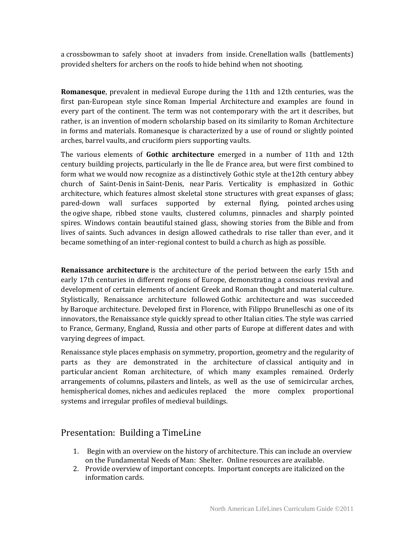a [crossbowman](http://en.wikipedia.org/wiki/Crossbow) to safely shoot at invaders from inside. [Crenellation](http://en.wikipedia.org/wiki/Crenellation) walls [\(battlements\)](http://en.wikipedia.org/wiki/Battlement) provided shelters for archers on the roofs to hide behind when not shooting.

**Romanesque**, prevalent in medieval Europe during the 11th and 12th centuries, was the first pan-European style since [Roman Imperial Architecture](http://en.wikipedia.org/wiki/Roman_Architecture) and examples are found in every part of the continent. The term was not contemporary with the art it describes, but rather, is an invention of modern scholarship based on its similarity to Roman Architecture in forms and materials. Romanesque is characterized by a use of round or slightly pointed arches, barrel vaults, and cruciform piers supporting vaults.

The various elements of **Gothic architecture** emerged in a number of 11th and 12th century building projects, particularly in the [Île de France](http://en.wikipedia.org/wiki/%C3%8Ele_de_France) area, but were first combined to form what we would now recognize as a distinctively Gothic style at th[e12th century abbey](http://en.wikipedia.org/wiki/Saint_Denis_Basilica)  [church of Saint-Denis](http://en.wikipedia.org/wiki/Saint_Denis_Basilica) in [Saint-Denis,](http://en.wikipedia.org/wiki/Saint-Denis) near [Paris.](http://en.wikipedia.org/wiki/Paris) Verticality is emphasized in Gothic architecture, which features almost skeletal stone structures with great expanses of glass; pared-down wall surfaces supported by external flying, pointed [arches](http://en.wikipedia.org/wiki/Arch) using the [ogive](http://en.wikipedia.org/wiki/Ogive) shape, ribbed stone vaults, clustered columns, pinnacles and sharply pointed spires. Windows contain beautiful [stained glass,](http://en.wikipedia.org/wiki/Stained_glass) showing stories from the [Bible](http://en.wikipedia.org/wiki/Bible) and from lives of [saints.](http://en.wikipedia.org/wiki/Saint) Such advances in design allowed cathedrals to rise taller than ever, and it became something of an inter-regional contest to build a church as high as possible.

**Renaissance architecture** is the architecture of the period between the early 15th and early 17th centuries in different regions of Europe, demonstrating a conscious revival and development of certain elements of [ancient Greek](http://en.wikipedia.org/wiki/Ancient_Greece) and Roman thought and material culture. Stylistically, Renaissance architecture followed [Gothic architecture](http://en.wikipedia.org/wiki/Gothic_architecture) and was succeeded by [Baroque architecture.](http://en.wikipedia.org/wiki/Baroque_architecture) Developed first in [Florence,](http://en.wikipedia.org/wiki/Florence) with [Filippo Brunelleschi](http://en.wikipedia.org/wiki/Filippo_Brunelleschi) as one of its innovators, the Renaissance style quickly spread to other Italian cities. The style was carried to France, Germany, England, Russia and other parts of Europe at different dates and with varying degrees of impact.

Renaissance style places emphasis on [symmetry,](http://en.wikipedia.org/wiki/Symmetry) [proportion,](http://en.wikipedia.org/wiki/Proportion_(architecture)) geometry and the regularity of parts as they are demonstrated in the architecture of [classical antiquity](http://en.wikipedia.org/wiki/Classical_antiquity) and in particular [ancient Roman architecture,](http://en.wikipedia.org/wiki/Roman_architecture) of which many examples remained. Orderly arrangements of [columns,](http://en.wikipedia.org/wiki/Column) [pilasters](http://en.wikipedia.org/wiki/Pilaster) and [lintels,](http://en.wikipedia.org/wiki/Lintel_(architecture)) as well as the use of semicircular arches, hemispherical [domes,](http://en.wikipedia.org/wiki/Dome) [niches](http://en.wikipedia.org/wiki/Niche_(architecture)) and [aedicules](http://en.wikipedia.org/wiki/Aedicule) replaced the more complex proportional systems and irregular profiles of medieval buildings.

# Presentation: Building a TimeLine

- 1. Begin with an overview on the history of architecture. This can include an overview on the Fundamental Needs of Man: Shelter. Online resources are available.
- 2. Provide overview of important concepts. Important concepts are italicized on the information cards.